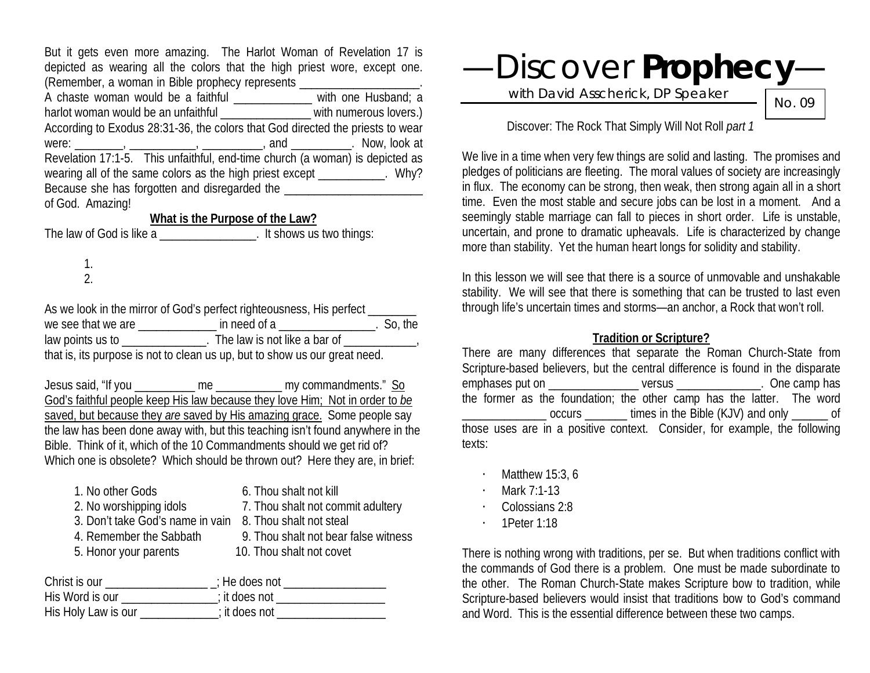But it gets even more amazing. The Harlot Woman of Revelation 17 is depicted as wearing all the colors that the high priest wore, except one. (Remember, a woman in Bible prophecy represents \_\_\_\_\_\_\_\_\_\_\_\_\_\_\_\_\_\_\_\_. A chaste woman would be a faithful \_\_\_\_\_\_\_\_\_\_\_\_ with one Husband; a harlot woman would be an unfaithful \_\_\_\_\_\_\_\_\_\_\_\_\_\_ with numerous lovers.) According to Exodus 28:31-36, the colors that God directed the priests to wear were: \_\_\_\_\_\_\_\_, \_\_\_\_\_\_\_\_\_\_\_, \_\_\_\_\_\_\_\_, and \_\_\_\_\_\_\_\_\_. Now, look at Revelation 17:1-5. This unfaithful, end-time church (a woman) is depicted as wearing all of the same colors as the high priest except \_\_\_\_\_\_\_\_\_\_. Why? Because she has forgotten and disregarded the of God. Amazing!

## **What is the Purpose of the Law?**

The law of God is like a zero is the law of God is like a zero is not all the shows us two things:

1. 2.

As we look in the mirror of God's perfect righteousness, His perfect we see that we are \_\_\_\_\_\_\_\_\_\_\_\_\_ in need of a \_\_\_\_\_\_\_\_\_\_\_\_\_\_\_\_. So, the law points us to \_\_\_\_\_\_\_\_\_\_\_\_\_\_\_. The law is not like a bar of \_\_\_\_\_\_\_\_\_\_\_\_\_, that is, its purpose is not to clean us up, but to show us our great need.

Jesus said, "If you \_\_\_\_\_\_\_\_\_\_ me \_\_\_\_\_\_\_\_\_\_\_ my commandments." So God's faithful people keep His law because they love Him; Not in order to *be* saved, but because they *are* saved by His amazing grace. Some people say the law has been done away with, but this teaching isn't found anywhere in the Bible. Think of it, which of the 10 Commandments should we get rid of? Which one is obsolete? Which should be thrown out? Here they are, in brief:

| 1. No other Gods                 | 6. Thou shalt not kill               |
|----------------------------------|--------------------------------------|
| 2. No worshipping idols          | 7. Thou shalt not commit adultery    |
| 3. Don't take God's name in vain | 8. Thou shalt not steal              |
| 4. Remember the Sabbath          | 9. Thou shalt not bear false witness |
| 5. Honor your parents            | 10. Thou shalt not covet             |
|                                  |                                      |

| Christ is our       | : He does not |
|---------------------|---------------|
| His Word is our     | ; it does not |
| His Holy Law is our | ; it does not |

# —Discover **Prophecy**—

with David Asscherick, DP Speaker

No. 09

Discover: The Rock That Simply Will Not Roll *part 1*

We live in a time when very few things are solid and lasting. The promises and pledges of politicians are fleeting. The moral values of society are increasingly in flux. The economy can be strong, then weak, then strong again all in a short time. Even the most stable and secure jobs can be lost in a moment. And a seemingly stable marriage can fall to pieces in short order. Life is unstable, uncertain, and prone to dramatic upheavals. Life is characterized by change more than stability. Yet the human heart longs for solidity and stability.

In this lesson we will see that there is a source of unmovable and unshakable stability. We will see that there is something that can be trusted to last even through life's uncertain times and storms—an anchor, a Rock that won't roll.

#### **Tradition or Scripture?**

There are many differences that separate the Roman Church-State from Scripture-based believers, but the central difference is found in the disparate emphases put on  $versus$  is a complete one of  $versus$  . One camp has the former as the foundation; the other camp has the latter. The word occurs times in the Bible (KJV) and only of those uses are in a positive context. Consider, for example, the following texts:

- $\cdot$  Matthew 15:3, 6
- · Mark 7:1-13
- · Colossians 2:8
- · 1Peter 1:18

There is nothing wrong with traditions, per se. But when traditions conflict with the commands of God there is a problem. One must be made subordinate to the other. The Roman Church-State makes Scripture bow to tradition, while Scripture-based believers would insist that traditions bow to God's command and Word. This is the essential difference between these two camps.